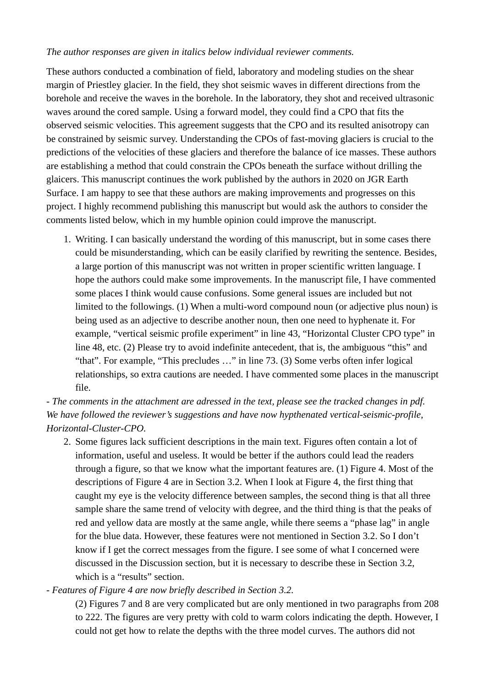*The author responses are given in italics below individual reviewer comments.*

These authors conducted a combination of field, laboratory and modeling studies on the shear margin of Priestley glacier. In the field, they shot seismic waves in different directions from the borehole and receive the waves in the borehole. In the laboratory, they shot and received ultrasonic waves around the cored sample. Using a forward model, they could find a CPO that fits the observed seismic velocities. This agreement suggests that the CPO and its resulted anisotropy can be constrained by seismic survey. Understanding the CPOs of fast-moving glaciers is crucial to the predictions of the velocities of these glaciers and therefore the balance of ice masses. These authors are establishing a method that could constrain the CPOs beneath the surface without drilling the glaicers. This manuscript continues the work published by the authors in 2020 on JGR Earth Surface. I am happy to see that these authors are making improvements and progresses on this project. I highly recommend publishing this manuscript but would ask the authors to consider the comments listed below, which in my humble opinion could improve the manuscript.

1. Writing. I can basically understand the wording of this manuscript, but in some cases there could be misunderstanding, which can be easily clarified by rewriting the sentence. Besides, a large portion of this manuscript was not written in proper scientific written language. I hope the authors could make some improvements. In the manuscript file, I have commented some places I think would cause confusions. Some general issues are included but not limited to the followings. (1) When a multi-word compound noun (or adjective plus noun) is being used as an adjective to describe another noun, then one need to hyphenate it. For example, "vertical seismic profile experiment" in line 43, "Horizontal Cluster CPO type" in line 48, etc. (2) Please try to avoid indefinite antecedent, that is, the ambiguous "this" and "that". For example, "This precludes …" in line 73. (3) Some verbs often infer logical relationships, so extra cautions are needed. I have commented some places in the manuscript file.

*- The comments in the attachment are adressed in the text, please see the tracked changes in pdf. We have followed the reviewer's suggestions and have now hypthenated vertical-seismic-profile, Horizontal-Cluster-CPO.*

2. Some figures lack sufficient descriptions in the main text. Figures often contain a lot of information, useful and useless. It would be better if the authors could lead the readers through a figure, so that we know what the important features are. (1) Figure 4. Most of the descriptions of Figure 4 are in Section 3.2. When I look at Figure 4, the first thing that caught my eye is the velocity difference between samples, the second thing is that all three sample share the same trend of velocity with degree, and the third thing is that the peaks of red and yellow data are mostly at the same angle, while there seems a "phase lag" in angle for the blue data. However, these features were not mentioned in Section 3.2. So I don't know if I get the correct messages from the figure. I see some of what I concerned were discussed in the Discussion section, but it is necessary to describe these in Section 3.2, which is a "results" section.

*- Features of Figure 4 are now briefly described in Section 3.2.*

(2) Figures 7 and 8 are very complicated but are only mentioned in two paragraphs from 208 to 222. The figures are very pretty with cold to warm colors indicating the depth. However, I could not get how to relate the depths with the three model curves. The authors did not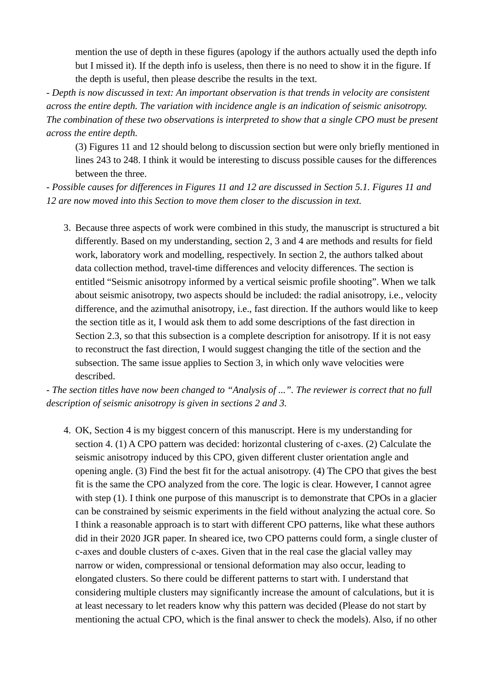mention the use of depth in these figures (apology if the authors actually used the depth info but I missed it). If the depth info is useless, then there is no need to show it in the figure. If the depth is useful, then please describe the results in the text.

*- Depth is now discussed in text: An important observation is that trends in velocity are consistent across the entire depth. The variation with incidence angle is an indication of seismic anisotropy. The combination of these two observations is interpreted to show that a single CPO must be present across the entire depth.*

(3) Figures 11 and 12 should belong to discussion section but were only briefly mentioned in lines 243 to 248. I think it would be interesting to discuss possible causes for the differences between the three.

*- Possible causes for differences in Figures 11 and 12 are discussed in Section 5.1. Figures 11 and 12 are now moved into this Section to move them closer to the discussion in text.*

3. Because three aspects of work were combined in this study, the manuscript is structured a bit differently. Based on my understanding, section 2, 3 and 4 are methods and results for field work, laboratory work and modelling, respectively. In section 2, the authors talked about data collection method, travel-time differences and velocity differences. The section is entitled "Seismic anisotropy informed by a vertical seismic profile shooting". When we talk about seismic anisotropy, two aspects should be included: the radial anisotropy, i.e., velocity difference, and the azimuthal anisotropy, i.e., fast direction. If the authors would like to keep the section title as it, I would ask them to add some descriptions of the fast direction in Section 2.3, so that this subsection is a complete description for anisotropy. If it is not easy to reconstruct the fast direction, I would suggest changing the title of the section and the subsection. The same issue applies to Section 3, in which only wave velocities were described.

*- The section titles have now been changed to "Analysis of ...". The reviewer is correct that no full description of seismic anisotropy is given in sections 2 and 3.*

4. OK, Section 4 is my biggest concern of this manuscript. Here is my understanding for section 4. (1) A CPO pattern was decided: horizontal clustering of c-axes. (2) Calculate the seismic anisotropy induced by this CPO, given different cluster orientation angle and opening angle. (3) Find the best fit for the actual anisotropy. (4) The CPO that gives the best fit is the same the CPO analyzed from the core. The logic is clear. However, I cannot agree with step (1). I think one purpose of this manuscript is to demonstrate that CPOs in a glacier can be constrained by seismic experiments in the field without analyzing the actual core. So I think a reasonable approach is to start with different CPO patterns, like what these authors did in their 2020 JGR paper. In sheared ice, two CPO patterns could form, a single cluster of c-axes and double clusters of c-axes. Given that in the real case the glacial valley may narrow or widen, compressional or tensional deformation may also occur, leading to elongated clusters. So there could be different patterns to start with. I understand that considering multiple clusters may significantly increase the amount of calculations, but it is at least necessary to let readers know why this pattern was decided (Please do not start by mentioning the actual CPO, which is the final answer to check the models). Also, if no other